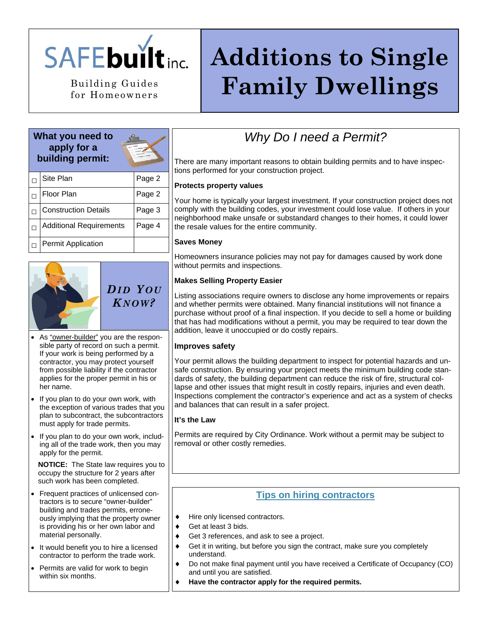

for Homeowners

# **Additions to Single**  Building Guides | **Family Dwellings**

# **What you need to apply for a building permit:**



| Site Plan                      | Page 2 |
|--------------------------------|--------|
| Floor Plan                     | Page 2 |
| <b>Construction Details</b>    | Page 3 |
| <b>Additional Requirements</b> | Page 4 |
| <b>Permit Application</b>      |        |



*DID Y OU K NOW?* 

- As "owner-builder" you are the responsible party of record on such a permit. If your work is being performed by a contractor, you may protect yourself from possible liability if the contractor applies for the proper permit in his or her name.
- If you plan to do your own work, with the exception of various trades that you plan to subcontract, the subcontractors must apply for trade permits.
- If you plan to do your own work, including all of the trade work, then you may apply for the permit.

**NOTICE:** The State law requires you to occupy the structure for 2 years after such work has been completed.

- Frequent practices of unlicensed contractors is to secure "owner-builder" building and trades permits, erroneously implying that the property owner is providing his or her own labor and material personally.
- It would benefit you to hire a licensed contractor to perform the trade work.
- Permits are valid for work to begin within six months.

# *Why Do I need a Permit?*

There are many important reasons to obtain building permits and to have inspections performed for your construction project.

### **Protects property values**

Your home is typically your largest investment. If your construction project does not comply with the building codes, your investment could lose value. If others in your neighborhood make unsafe or substandard changes to their homes, it could lower the resale values for the entire community.

#### **Saves Money**

Homeowners insurance policies may not pay for damages caused by work done without permits and inspections.

### **Makes Selling Property Easier**

Listing associations require owners to disclose any home improvements or repairs and whether permits were obtained. Many financial institutions will not finance a purchase without proof of a final inspection. If you decide to sell a home or building that has had modifications without a permit, you may be required to tear down the addition, leave it unoccupied or do costly repairs.

#### **Improves safety**

Your permit allows the building department to inspect for potential hazards and unsafe construction. By ensuring your project meets the minimum building code standards of safety, the building department can reduce the risk of fire, structural collapse and other issues that might result in costly repairs, injuries and even death. Inspections complement the contractor's experience and act as a system of checks and balances that can result in a safer project.

#### **It's the Law**

Permits are required by City Ordinance. Work without a permit may be subject to removal or other costly remedies.

# **Tips on hiring contractors**

- Hire only licensed contractors.
- Get at least 3 bids.
- ♦ Get 3 references, and ask to see a project.
- ♦ Get it in writing, but before you sign the contract, make sure you completely understand.
- Do not make final payment until you have received a Certificate of Occupancy (CO) and until you are satisfied.
- Have the contractor apply for the required permits.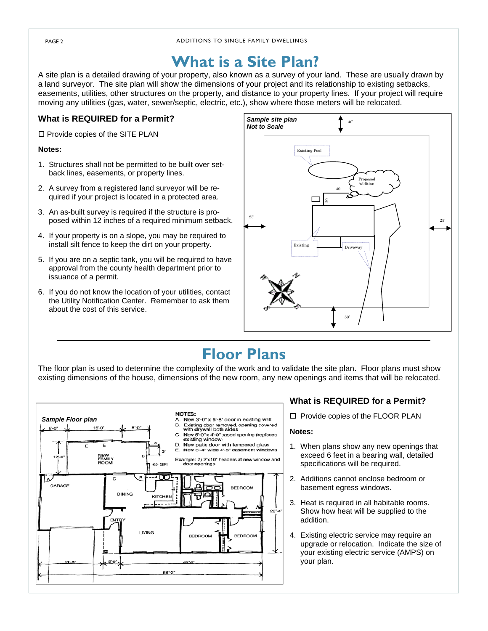# **What is a Site Plan?**

A site plan is a detailed drawing of your property, also known as a survey of your land. These are usually drawn by a land surveyor. The site plan will show the dimensions of your project and its relationship to existing setbacks, easements, utilities, other structures on the property, and distance to your property lines. If your project will require moving any utilities (gas, water, sewer/septic, electric, etc.), show where those meters will be relocated.

### **What is REQUIRED for a Permit?**

 $\square$  Provide copies of the SITE PLAN

#### **Notes:**

- 1. Structures shall not be permitted to be built over setback lines, easements, or property lines.
- 2. A survey from a registered land surveyor will be required if your project is located in a protected area.
- 3. An as-built survey is required if the structure is proposed within 12 inches of a required minimum setback.
- 4. If your property is on a slope, you may be required to install silt fence to keep the dirt on your property.
- 5. If you are on a septic tank, you will be required to have approval from the county health department prior to issuance of a permit.
- 6. If you do not know the location of your utilities, contact the Utility Notification Center. Remember to ask them about the cost of this service.



# **Floor Plans**

The floor plan is used to determine the complexity of the work and to validate the site plan. Floor plans must show existing dimensions of the house, dimensions of the new room, any new openings and items that will be relocated.



### **What is REQUIRED for a Permit?**

 $\square$  Provide copies of the FLOOR PLAN

#### **Notes:**

- 1. When plans show any new openings that exceed 6 feet in a bearing wall, detailed specifications will be required.
- 2. Additions cannot enclose bedroom or basement egress windows.
- 3. Heat is required in all habitable rooms. Show how heat will be supplied to the addition.
- 4. Existing electric service may require an upgrade or relocation. Indicate the size of your existing electric service (AMPS) on your plan.

PAGE 2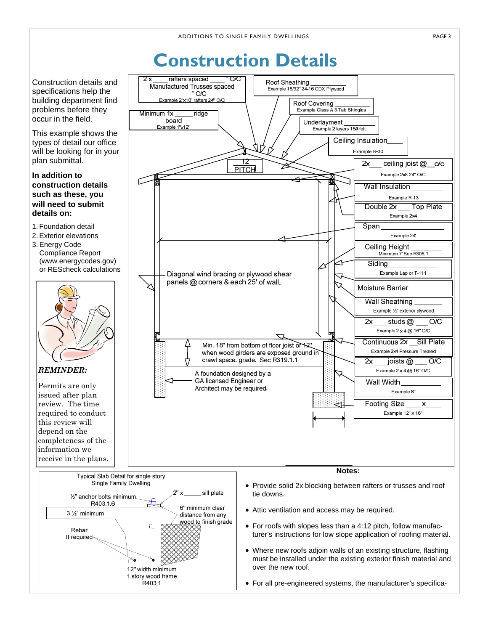PAGE 3

# **Construction Details**

 $\overline{2x}$ rafters spaced \_ Roof Sheathing<br>Example 15/32" 24-16 CDX Plywood Construction details and Manufactured Trusses spaced specifications help the  $O/C$ Example 2"x10" rafters 24" O/C building department find Roof Covering<br>Example Class A 3-Tab Shingles problems before they Minimum 1x ridae occur in the field. board Underlayment Example 1"x12" Example 2 layers 15# felt This example shows the Ceiling Insulation types of detail our office will be looking for in your Example R-30 plan submittal. 12  $2x$ ceiling joist  $@$  o/c **PITCH** Example 2x8 24" O/C **In addition to construction details Wall Insulation such as these, you**  Example R-13 **will need to submit**   $\overline{\phantom{a}}$  Top Plate Double 2x **details on:** Example 2x4 1. Foundation detail Span 2. Exterior elevations Example 24' 3. Energy Code Ceiling Height Compliance Report Minimum 7 Sec R305.1 (www.energycodes.gov) Sidina or REScheck calculations Diagonal wind bracing or plywood shear Example Lap or T-111 panels @ corners & each 25' of wall. Moisture Barrier **Wall Sheathing** Example 1/2" exterior plywood  $2x$ studs  $@$  $\overline{OC}$ Example  $2 \times 4$  @ 16" O/C Continuous 2x Sill Plate Min. 18" from bottom of floor joist or 12" Example 2x4 Pressure Treated when wood girders are exposed ground in crawl space\_grade\_Sec R319.1-1  $2x$ joists  $@$  O/C *REMINDER:*  Example  $2 \times 4$  @ 16" O/C A foundation designed by a ञ GA licensed Engineer or Wall Width Permits are only Architect may be required. Example 8" issued after plan review. The time **Footing Size** required to conduct Example 12" x 16" this review will depend on the completeness of the information we receive in the plans. **Notes:** Typical Slab Detail for single story Single Family Dwelling • Provide solid 2x blocking between rafters or trusses and roof sill plate  $2"x$ tie downs. 1/2" anchor bolts minimum. R40316 6" minimum clear • Attic ventilation and access may be required. 3 1/2" minimum distance from any wood to finish grade • For roofs with slopes less than a 4:12 pitch, follow manufac-Rebar turer's instructions for low slope application of roofing material. If required-• Where new roofs adjoin walls of an existing structure, flashing must be installed under the existing exterior finish material and over the new roof. 12" width minimum 1 story wood frame .<br>R403.1 • For all pre-engineered systems, the manufacturer's specifica-